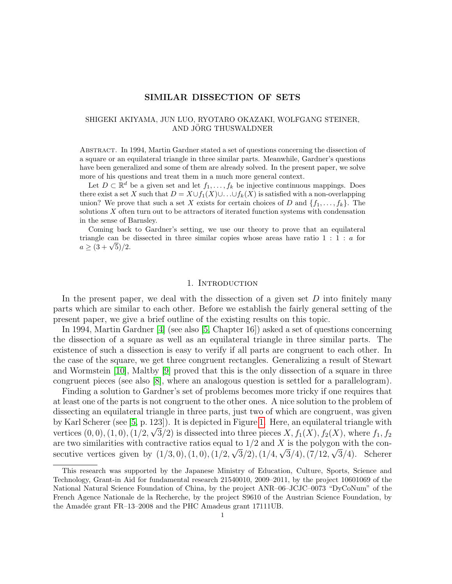# SIMILAR DISSECTION OF SETS

#### SHIGEKI AKIYAMA, JUN LUO, RYOTARO OKAZAKI, WOLFGANG STEINER, AND JORG THUSWALDNER

Abstract. In 1994, Martin Gardner stated a set of questions concerning the dissection of a square or an equilateral triangle in three similar parts. Meanwhile, Gardner's questions have been generalized and some of them are already solved. In the present paper, we solve more of his questions and treat them in a much more general context.

Let  $D \subset \mathbb{R}^d$  be a given set and let  $f_1, \ldots, f_k$  be injective continuous mappings. Does there exist a set X such that  $D = X \cup f_1(X) \cup \ldots \cup f_k(X)$  is satisfied with a non-overlapping union? We prove that such a set X exists for certain choices of D and  $\{f_1, \ldots, f_k\}$ . The solutions X often turn out to be attractors of iterated function systems with condensation in the sense of Barnsley.

Coming back to Gardner's setting, we use our theory to prove that an equilateral triangle can be dissected in three similar copies whose areas have ratio  $1 : 1 : a$  for triangle can be<br>  $a \geq (3 + \sqrt{5})/2.$ 

#### 1. INTRODUCTION

In the present paper, we deal with the dissection of a given set  $D$  into finitely many parts which are similar to each other. Before we establish the fairly general setting of the present paper, we give a brief outline of the existing results on this topic.

In 1994, Martin Gardner [\[4\]](#page-15-0) (see also [\[5,](#page-15-1) Chapter 16]) asked a set of questions concerning the dissection of a square as well as an equilateral triangle in three similar parts. The existence of such a dissection is easy to verify if all parts are congruent to each other. In the case of the square, we get three congruent rectangles. Generalizing a result of Stewart and Wormstein [\[10\]](#page-15-2), Maltby [\[9\]](#page-15-3) proved that this is the only dissection of a square in three congruent pieces (see also [\[8\]](#page-15-4), where an analogous question is settled for a parallelogram).

Finding a solution to Gardner's set of problems becomes more tricky if one requires that at least one of the parts is not congruent to the other ones. A nice solution to the problem of dissecting an equilateral triangle in three parts, just two of which are congruent, was given by Karl Scherer (see [\[5,](#page-15-1) p. 123]). It is depicted in Figure [1.](#page-1-0) Here, an equilateral triangle with vertices  $(0,0)$ ,  $(1,0)$ ,  $(1/2, \sqrt{3}/2)$  is dissected into three pieces  $X, f_1(X), f_2(X)$ , where  $f_1, f_2$ are two similarities with contractive ratios equal to  $1/2$  and X is the polygon with the consecutive vertices given by  $(1/3,0), (1,0), (1/2, \sqrt{3}/2), (1/4, \sqrt{3}/4), (7/12, \sqrt{3}/4)$ . Scherer

This research was supported by the Japanese Ministry of Education, Culture, Sports, Science and Technology, Grant-in Aid for fundamental research 21540010, 2009–2011, by the project 10601069 of the National Natural Science Foundation of China, by the project ANR–06–JCJC–0073 "DyCoNum" of the French Agence Nationale de la Recherche, by the project S9610 of the Austrian Science Foundation, by the Amadée grant FR–13–2008 and the PHC Amadeus grant 17111UB.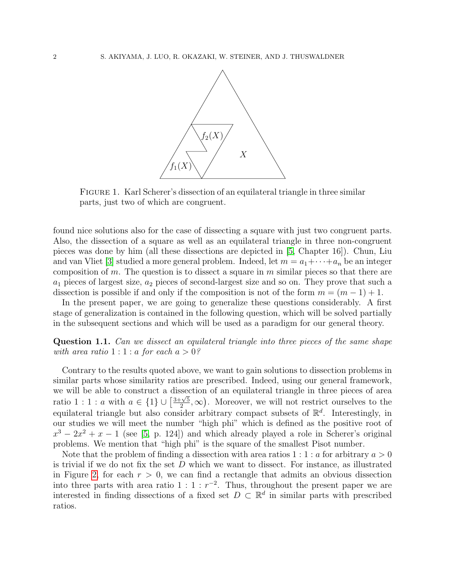

<span id="page-1-0"></span>Figure 1. Karl Scherer's dissection of an equilateral triangle in three similar parts, just two of which are congruent.

found nice solutions also for the case of dissecting a square with just two congruent parts. Also, the dissection of a square as well as an equilateral triangle in three non-congruent pieces was done by him (all these dissections are depicted in [\[5,](#page-15-1) Chapter 16]). Chun, Liu and van Vliet [\[3\]](#page-15-5) studied a more general problem. Indeed, let  $m = a_1 + \cdots + a_n$  be an integer composition of m. The question is to dissect a square in m similar pieces so that there are  $a_1$  pieces of largest size,  $a_2$  pieces of second-largest size and so on. They prove that such a dissection is possible if and only if the composition is not of the form  $m = (m - 1) + 1$ .

In the present paper, we are going to generalize these questions considerably. A first stage of generalization is contained in the following question, which will be solved partially in the subsequent sections and which will be used as a paradigm for our general theory.

Question 1.1. Can we dissect an equilateral triangle into three pieces of the same shape with area ratio  $1:1:a$  for each  $a>0$ ?

Contrary to the results quoted above, we want to gain solutions to dissection problems in similar parts whose similarity ratios are prescribed. Indeed, using our general framework, we will be able to construct a dissection of an equilateral triangle in three pieces of area ratio 1 : 1 : *a* with  $a \in \{1\} \cup \left[\frac{3+\sqrt{5}}{2}\right]$  $\frac{\sqrt{5}}{2}$ ,  $\infty$ ). Moreover, we will not restrict ourselves to the equilateral triangle but also consider arbitrary compact subsets of  $\mathbb{R}^d$ . Interestingly, in our studies we will meet the number "high phi" which is defined as the positive root of  $x^3 - 2x^2 + x - 1$  (see [\[5,](#page-15-1) p. 124]) and which already played a role in Scherer's original problems. We mention that "high phi" is the square of the smallest Pisot number.

Note that the problem of finding a dissection with area ratios  $1:1:a$  for arbitrary  $a>0$ is trivial if we do not fix the set  $D$  which we want to dissect. For instance, as illustrated in Figure [2,](#page-2-0) for each  $r > 0$ , we can find a rectangle that admits an obvious dissection into three parts with area ratio  $1:1:r^{-2}$ . Thus, throughout the present paper we are interested in finding dissections of a fixed set  $D \subset \mathbb{R}^d$  in similar parts with prescribed ratios.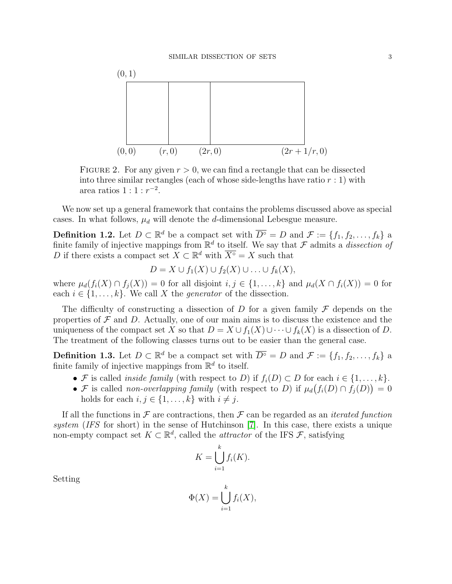

<span id="page-2-0"></span>FIGURE 2. For any given  $r > 0$ , we can find a rectangle that can be dissected into three similar rectangles (each of whose side-lengths have ratio  $r : 1$ ) with area ratios  $1:1:r^{-2}$ .

We now set up a general framework that contains the problems discussed above as special cases. In what follows,  $\mu_d$  will denote the d-dimensional Lebesgue measure.

**Definition 1.2.** Let  $D \subset \mathbb{R}^d$  be a compact set with  $\overline{D^{\circ}} = D$  and  $\mathcal{F} := \{f_1, f_2, \ldots, f_k\}$  a finite family of injective mappings from  $\mathbb{R}^d$  to itself. We say that F admits a *dissection of* D if there exists a compact set  $\bar{X} \subset \mathbb{R}^d$  with  $\bar{X}^\circ = X$  such that

$$
D = X \cup f_1(X) \cup f_2(X) \cup \ldots \cup f_k(X),
$$

where  $\mu_d(f_i(X) \cap f_j(X)) = 0$  for all disjoint  $i, j \in \{1, \ldots, k\}$  and  $\mu_d(X \cap f_i(X)) = 0$  for each  $i \in \{1, \ldots, k\}$ . We call X the *generator* of the dissection.

The difficulty of constructing a dissection of D for a given family  $\mathcal F$  depends on the properties of  $\mathcal F$  and  $D$ . Actually, one of our main aims is to discuss the existence and the uniqueness of the compact set X so that  $D = X \cup f_1(X) \cup \cdots \cup f_k(X)$  is a dissection of D. The treatment of the following classes turns out to be easier than the general case.

**Definition 1.3.** Let  $D \subset \mathbb{R}^d$  be a compact set with  $\overline{D^{\circ}} = D$  and  $\mathcal{F} := \{f_1, f_2, \ldots, f_k\}$  a finite family of injective mappings from  $\mathbb{R}^d$  to itself.

- F is called *inside family* (with respect to D) if  $f_i(D) \subset D$  for each  $i \in \{1, \ldots, k\}$ .
- F is called non-overlapping family (with respect to D) if  $\mu_d(f_i(D) \cap f_j(D)) = 0$ holds for each  $i, j \in \{1, \ldots, k\}$  with  $i \neq j$ .

If all the functions in  $\mathcal F$  are contractions, then  $\mathcal F$  can be regarded as an *iterated function* system (IFS for short) in the sense of Hutchinson [\[7\]](#page-15-6). In this case, there exists a unique non-empty compact set  $K \subset \mathbb{R}^d$ , called the *attractor* of the IFS  $\mathcal{F}$ , satisfying

$$
K = \bigcup_{i=1}^{k} f_i(K).
$$

Setting

$$
\Phi(X) = \bigcup_{i=1}^k f_i(X),
$$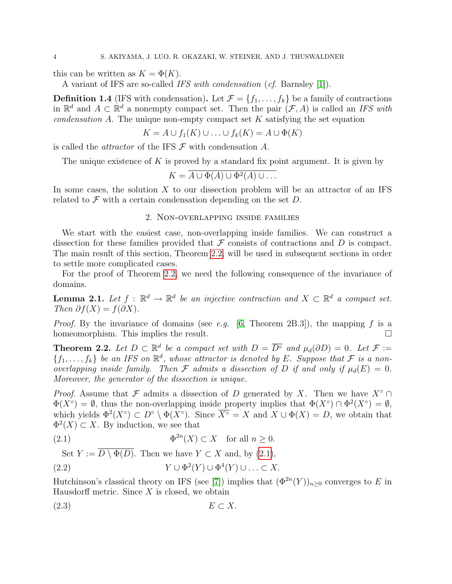this can be written as  $K = \Phi(K)$ .

A variant of IFS are so-called IFS with condensation (cf. Barnsley [\[1\]](#page-15-7)).

**Definition 1.4** (IFS with condensation). Let  $\mathcal{F} = \{f_1, \ldots, f_k\}$  be a family of contractions in  $\mathbb{R}^d$  and  $A \subset \mathbb{R}^d$  a nonempty compact set. Then the pair  $(\mathcal{F}, A)$  is called an IFS with condensation A. The unique non-empty compact set  $K$  satisfying the set equation

$$
K = A \cup f_1(K) \cup \ldots \cup f_k(K) = A \cup \Phi(K)
$$

is called the *attractor* of the IFS  $\mathcal F$  with condensation  $A$ .

The unique existence of  $K$  is proved by a standard fix point argument. It is given by

$$
K = \overline{A \cup \Phi(A) \cup \Phi^2(A) \cup \dots}
$$

In some cases, the solution  $X$  to our dissection problem will be an attractor of an IFS related to  $\mathcal F$  with a certain condensation depending on the set  $D$ .

## 2. Non-overlapping inside families

We start with the easiest case, non-overlapping inside families. We can construct a dissection for these families provided that  $\mathcal F$  consists of contractions and  $D$  is compact. The main result of this section, Theorem [2.2,](#page-3-0) will be used in subsequent sections in order to settle more complicated cases.

For the proof of Theorem [2.2,](#page-3-0) we need the following consequence of the invariance of domains.

<span id="page-3-2"></span>**Lemma 2.1.** Let  $f : \mathbb{R}^d \to \mathbb{R}^d$  be an injective contraction and  $X \subset \mathbb{R}^d$  a compact set. Then  $\partial f(X) = f(\partial X)$ .

*Proof.* By the invariance of domains (see e.g. [\[6,](#page-15-8) Theorem 2B.3]), the mapping f is a homeomorphism. This implies the result.

<span id="page-3-0"></span>**Theorem 2.2.** Let  $D \subset \mathbb{R}^d$  be a compact set with  $D = \overline{D^{\circ}}$  and  $\mu_d(\partial D) = 0$ . Let  $\mathcal{F} :=$  $\{f_1,\ldots,f_k\}$  be an IFS on  $\mathbb{R}^d$ , whose attractor is denoted by E. Suppose that F is a nonoverlapping inside family. Then F admits a dissection of D if and only if  $\mu_d(E) = 0$ . Moreover, the generator of the dissection is unique.

*Proof.* Assume that F admits a dissection of D generated by X. Then we have  $X^{\circ} \cap$  $\Phi(X^{\circ}) = \emptyset$ , thus the non-overlapping inside property implies that  $\Phi(X^{\circ}) \cap \Phi^2(X^{\circ}) = \emptyset$ , which yields  $\Phi^2(X^{\circ}) \subset D^{\circ} \setminus \Phi(X^{\circ})$ . Since  $\overline{X^{\circ}} = X$  and  $X \cup \Phi(X) = D$ , we obtain that  $\Phi^2(X) \subset X$ . By induction, we see that

<span id="page-3-1"></span>(2.1)  $\Phi^{2n}(X) \subset X$  for all  $n \geq 0$ .

<span id="page-3-3"></span>Set  $Y := \overline{D \setminus \Phi(D)}$ . Then we have  $Y \subset X$  and, by [\(2.1\)](#page-3-1),

(2.2) 
$$
Y \cup \Phi^{2}(Y) \cup \Phi^{4}(Y) \cup ... \subset X.
$$

Hutchinson's classical theory on IFS (see [\[7\]](#page-15-6)) implies that  $(\Phi^{2n}(Y))_{n\geq 0}$  converges to E in Hausdorff metric. Since  $X$  is closed, we obtain

<span id="page-3-4"></span>
$$
(2.3) \t\t\t E \subset X.
$$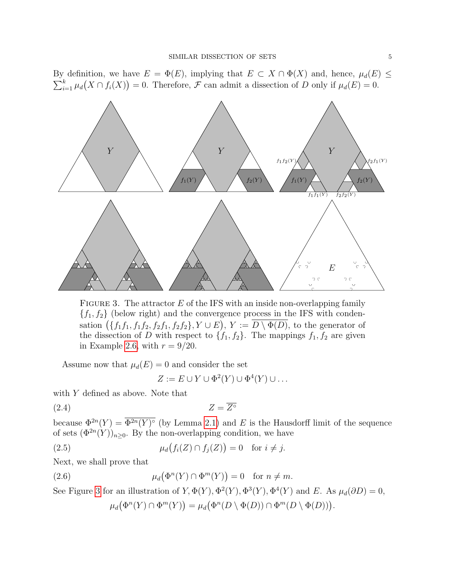By definition, we have  $E = \Phi(E)$ , implying that  $E \subset X \cap \Phi(X)$  and, hence,  $\mu_d(E) \leq$  $\sum_{i=1}^{k} \mu_d(X \cap f_i(X)) = 0$ . Therefore, *F* can admit a dissection of *D* only if  $\mu_d(E) = 0$ .



<span id="page-4-0"></span>FIGURE 3. The attractor  $E$  of the IFS with an inside non-overlapping family  ${f_1, f_2}$  (below right) and the convergence process in the IFS with condensation  $(\{f_1f_1, f_1f_2, f_2f_1, f_2f_2\}, Y \cup E), Y := \overline{D \setminus \Phi(D)}$ , to the generator of the dissection of D with respect to  $\{f_1, f_2\}$ . The mappings  $f_1, f_2$  are given in Example [2.6,](#page-7-0) with  $r = 9/20$ .

Assume now that  $\mu_d(E) = 0$  and consider the set

<span id="page-4-3"></span><span id="page-4-2"></span>
$$
Z := E \cup Y \cup \Phi^2(Y) \cup \Phi^4(Y) \cup \dots
$$

with Y defined as above. Note that

$$
(2.4) \t\t Z = \overline{Z^{\circ}}
$$

because  $\Phi^{2n}(Y) = \Phi^{2n}(Y)$ ° (by Lemma [2.1\)](#page-3-2) and E is the Hausdorff limit of the sequence of sets  $(\Phi^{2n}(Y))_{n\geq 0}$ . By the non-overlapping condition, we have

(2.5) 
$$
\mu_d(f_i(Z) \cap f_j(Z)) = 0 \text{ for } i \neq j.
$$

Next, we shall prove that

(2.6) 
$$
\mu_d(\Phi^n(Y) \cap \Phi^m(Y)) = 0 \text{ for } n \neq m.
$$

See Figure [3](#page-4-0) for an illustration of  $Y$ ,  $\Phi(Y)$ ,  $\Phi^2(Y)$ ,  $\Phi^3(Y)$ ,  $\Phi^4(Y)$  and E. As  $\mu_d(\partial D) = 0$ ,

<span id="page-4-1"></span>
$$
\mu_d(\Phi^n(Y) \cap \Phi^m(Y)) = \mu_d(\Phi^n(D \setminus \Phi(D)) \cap \Phi^m(D \setminus \Phi(D))).
$$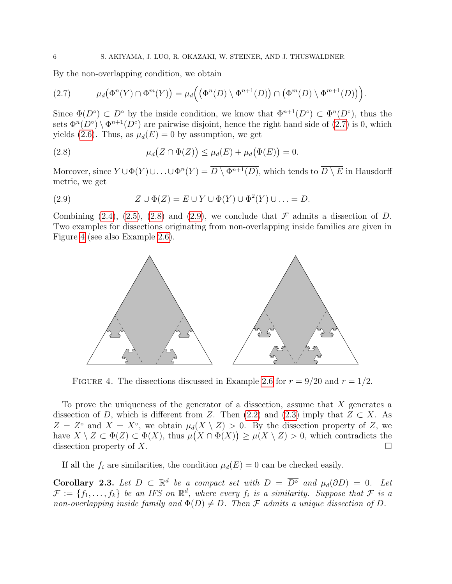By the non-overlapping condition, we obtain

<span id="page-5-0"></span>
$$
(2.7) \qquad \mu_d\big(\Phi^n(Y)\cap\Phi^m(Y)\big)=\mu_d\Big(\big(\Phi^n(D)\setminus\Phi^{n+1}(D)\big)\cap\big(\Phi^m(D)\setminus\Phi^{m+1}(D)\big)\Big).
$$

Since  $\Phi(D^{\circ}) \subset D^{\circ}$  by the inside condition, we know that  $\Phi^{n+1}(D^{\circ}) \subset \Phi^n(D^{\circ})$ , thus the sets  $\Phi^{n}(D^{\circ}) \setminus \Phi^{n+1}(D^{\circ})$  are pairwise disjoint, hence the right hand side of  $(2.7)$  is 0, which yields [\(2.6\)](#page-4-1). Thus, as  $\mu_d(E) = 0$  by assumption, we get

<span id="page-5-1"></span>(2.8) 
$$
\mu_d(Z \cap \Phi(Z)) \le \mu_d(E) + \mu_d(\Phi(E)) = 0.
$$

Moreover, since  $Y \cup \Phi(Y) \cup \ldots \cup \Phi^n(Y) = D \setminus \Phi^{n+1}(D)$ , which tends to  $D \setminus E$  in Hausdorff metric, we get

<span id="page-5-2"></span>(2.9) 
$$
Z \cup \Phi(Z) = E \cup Y \cup \Phi(Y) \cup \Phi^{2}(Y) \cup ... = D.
$$

Combining [\(2.4\)](#page-4-2), [\(2.5\)](#page-4-3), [\(2.8\)](#page-5-1) and [\(2.9\)](#page-5-2), we conclude that  $\mathcal F$  admits a dissection of D. Two examples for dissections originating from non-overlapping inside families are given in Figure [4](#page-5-3) (see also Example [2.6\)](#page-7-0).



<span id="page-5-3"></span>FIGURE 4. The dissections discussed in Example [2.6](#page-7-0) for  $r = 9/20$  and  $r = 1/2$ .

To prove the uniqueness of the generator of a dissection, assume that  $X$  generates a dissection of D, which is different from Z. Then [\(2.2\)](#page-3-3) and [\(2.3\)](#page-3-4) imply that  $Z \subset X$ . As  $Z = \overline{Z^{\circ}}$  and  $X = \overline{X^{\circ}}$ , we obtain  $\mu_d(X \setminus Z) > 0$ . By the dissection property of Z, we have  $X \setminus Z \subset \Phi(Z) \subset \Phi(X)$ , thus  $\mu(X \cap \Phi(X)) \geq \mu(X \setminus Z) > 0$ , which contradicts the dissection property of X.

If all the  $f_i$  are similarities, the condition  $\mu_d(E) = 0$  can be checked easily.

<span id="page-5-4"></span>**Corollary 2.3.** Let  $D \subset \mathbb{R}^d$  be a compact set with  $D = \overline{D^{\circ}}$  and  $\mu_d(\partial D) = 0$ . Let  $\mathcal{F} := \{f_1, \ldots, f_k\}$  be an IFS on  $\mathbb{R}^d$ , where every  $f_i$  is a similarity. Suppose that  $\mathcal{F}$  is a non-overlapping inside family and  $\Phi(D) \neq D$ . Then F admits a unique dissection of D.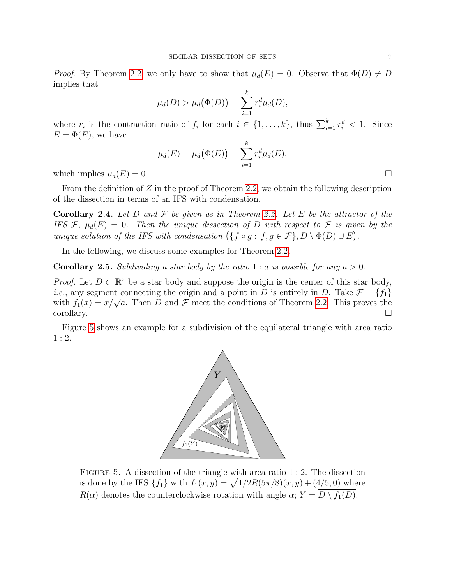*Proof.* By Theorem [2.2,](#page-3-0) we only have to show that  $\mu_d(E) = 0$ . Observe that  $\Phi(D) \neq D$ implies that

$$
\mu_d(D) > \mu_d(\Phi(D)) = \sum_{i=1}^k r_i^d \mu_d(D),
$$

where  $r_i$  is the contraction ratio of  $f_i$  for each  $i \in \{1, ..., k\}$ , thus  $\sum_{i=1}^k r_i^d < 1$ . Since  $E = \Phi(E)$ , we have

$$
\mu_d(E) = \mu_d(\Phi(E)) = \sum_{i=1}^k r_i^d \mu_d(E),
$$

which implies  $\mu_d(E) = 0$ .

From the definition of  $Z$  in the proof of Theorem [2.2,](#page-3-0) we obtain the following description of the dissection in terms of an IFS with condensation.

**Corollary 2.4.** Let D and F be given as in Theorem [2.2.](#page-3-0) Let E be the attractor of the IFS F,  $\mu_d(E) = 0$ . Then the unique dissection of D with respect to F is given by the unique solution of the IFS with condensation  $(\{f \circ g : f, g \in \mathcal{F}\}, \overline{D \setminus \Phi(D)} \cup E)$ .

In the following, we discuss some examples for Theorem [2.2.](#page-3-0)

**Corollary 2.5.** Subdividing a star body by the ratio 1 : a is possible for any  $a > 0$ .

*Proof.* Let  $D \subset \mathbb{R}^2$  be a star body and suppose the origin is the center of this star body, *i.e.*, any segment connecting the origin and a point in D is entirely in D. Take  $\mathcal{F} = \{f_1\}$ *i.e.*, any segment connecting the origin and a point in D is entirely in D. Take  $\mathcal{F} = \{f_1\}$  with  $f_1(x) = x/\sqrt{a}$ . Then D and F meet the conditions of Theorem [2.2.](#page-3-0) This proves the corollary.

Figure [5](#page-6-0) shows an example for a subdivision of the equilateral triangle with area ratio  $1:2.$ 



<span id="page-6-0"></span>FIGURE 5. A dissection of the triangle with area ratio 1 : 2. The dissection is done by the IFS  $\{f_1\}$  with  $f_1(x, y) = \sqrt{1/2}R(5\pi/8)(x, y) + (4/5, 0)$  where  $R(\alpha)$  denotes the counterclockwise rotation with angle  $\alpha$ ;  $Y = \overline{D \setminus f_1(D)}$ .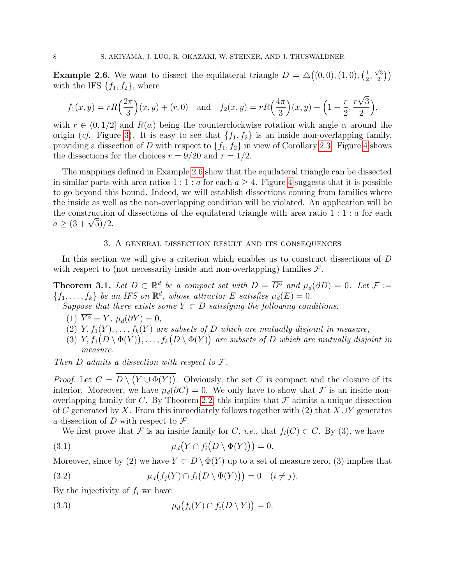<span id="page-7-0"></span>**Example 2.6.** We want to dissect the equilateral triangle  $D = \Delta((0,0), (1,0), (\frac{1}{2}))$  $\frac{1}{2}$ ,  $\sqrt{3}$  $\binom{3}{2}$ with the IFS  $\{f_1, f_2\}$ , where

$$
f_1(x,y) = rR\left(\frac{2\pi}{3}\right)(x,y) + (r,0)
$$
 and  $f_2(x,y) = rR\left(\frac{4\pi}{3}\right)(x,y) + \left(1 - \frac{r}{2}, \frac{r\sqrt{3}}{2}\right),$ 

with  $r \in (0, 1/2]$  and  $R(\alpha)$  being the counterclockwise rotation with angle  $\alpha$  around the origin (cf. Figure [3\)](#page-4-0). It is easy to see that  $\{f_1, f_2\}$  is an inside non-overlapping family, providing a dissection of D with respect to  $\{f_1, f_2\}$  in view of Corollary [2.3.](#page-5-4) Figure [4](#page-5-3) shows the dissections for the choices  $r = 9/20$  and  $r = 1/2$ .

The mappings defined in Example [2.6](#page-7-0) show that the equilateral triangle can be dissected in similar parts with area ratios 1 : 1 : a for each  $a \geq 4$  $a \geq 4$ . Figure 4 suggests that it is possible to go beyond this bound. Indeed, we will establish dissections coming from families where the inside as well as the non-overlapping condition will be violated. An application will be the construction of dissections of the equilateral triangle with area ratio  $1:1:a$  for each the construction<br>  $a \geq (3 + \sqrt{5})/2.$ 

#### 3. A general dissection result and its consequences

In this section we will give a criterion which enables us to construct dissections of D with respect to (not necessarily inside and non-overlapping) families  $\mathcal{F}$ .

<span id="page-7-4"></span>**Theorem 3.1.** Let  $D \subset \mathbb{R}^d$  be a compact set with  $D = \overline{D^{\circ}}$  and  $\mu_d(\partial D) = 0$ . Let  $\mathcal{F} :=$  ${f_1,\ldots,f_k}$  be an IFS on  $\mathbb{R}^d$ , whose attractor E satisfies  $\mu_d(E) = 0$ .

Suppose that there exists some  $Y \subset D$  satisfying the following conditions.

- (1)  $\overline{Y^{\circ}} = Y$ ,  $\mu_d(\partial Y) = 0$ ,
- (2) Y,  $f_1(Y), \ldots, f_k(Y)$  are subsets of D which are mutually disjoint in measure,
- (3)  $Y, f_1(D \setminus \Phi(Y)), \ldots, f_k(D \setminus \Phi(Y))$  are subsets of D which are mutually disjoint in measure.

Then D admits a dissection with respect to  $\mathcal{F}.$ 

*Proof.* Let  $C = D \setminus (Y \cup \Phi(Y))$ . Obviously, the set C is compact and the closure of its interior. Moreover, we have  $\mu_d(\partial C) = 0$ . We only have to show that F is an inside non-overlapping family for C. By Theorem [2.2,](#page-3-0) this implies that  $\mathcal F$  admits a unique dissection of C generated by X. From this immediately follows together with (2) that  $X \cup Y$  generates a dissection of D with respect to  $\mathcal{F}$ .

<span id="page-7-1"></span>We first prove that F is an inside family for C, *i.e.*, that  $f_i(C) \subset C$ . By (3), we have

(3.1) 
$$
\mu_d(Y \cap f_i(D \setminus \Phi(Y))) = 0.
$$

Moreover, since by (2) we have  $Y \subset D \setminus \Phi(Y)$  up to a set of measure zero, (3) implies that

<span id="page-7-2"></span>(3.2) 
$$
\mu_d(f_j(Y) \cap f_i(D \setminus \Phi(Y))) = 0 \quad (i \neq j).
$$

By the injectivity of  $f_i$  we have

<span id="page-7-3"></span>(3.3) 
$$
\mu_d(f_i(Y) \cap f_i(D \setminus Y)) = 0.
$$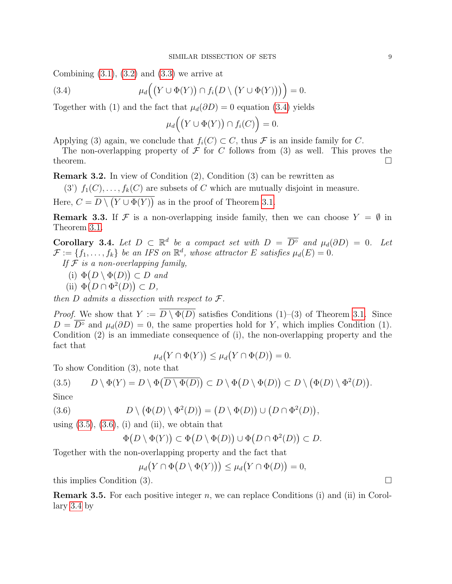Combining  $(3.1)$ ,  $(3.2)$  and  $(3.3)$  we arrive at

(3.4) 
$$
\mu_d\Big(\big(Y\cup\Phi(Y)\big)\cap f_i\big(D\setminus\big(Y\cup\Phi(Y)\big)\big)\Big)=0.
$$

Together with (1) and the fact that  $\mu_d(\partial D) = 0$  equation [\(3.4\)](#page-8-0) yields

<span id="page-8-0"></span>
$$
\mu_d\Big(\big(Y\cup\Phi(Y)\big)\cap f_i(C)\Big)=0.
$$

Applying (3) again, we conclude that  $f_i(C) \subset C$ , thus F is an inside family for C.

The non-overlapping property of  $\mathcal F$  for C follows from (3) as well. This proves the theorem.  $\Box$ 

<span id="page-8-4"></span>Remark 3.2. In view of Condition (2), Condition (3) can be rewritten as

(3')  $f_1(C), \ldots, f_k(C)$  are subsets of C which are mutually disjoint in measure.

Here,  $C = D \setminus (Y \cup \Phi(Y))$  as in the proof of Theorem [3.1.](#page-7-4)

**Remark 3.3.** If F is a non-overlapping inside family, then we can choose  $Y = \emptyset$  in Theorem [3.1.](#page-7-4)

<span id="page-8-3"></span>**Corollary 3.4.** Let  $D \subset \mathbb{R}^d$  be a compact set with  $D = \overline{D^{\circ}}$  and  $\mu_d(\partial D) = 0$ . Let  $\mathcal{F} := \{f_1, \ldots, f_k\}$  be an IFS on  $\mathbb{R}^d$ , whose attractor E satisfies  $\mu_d(E) = 0$ .

- If  $F$  is a non-overlapping family,
	- (i)  $\Phi(D \setminus \Phi(D)) \subset D$  and
	- (ii)  $\Phi(D \cap \Phi^2(D)) \subset D$ ,

then  $D$  admits a dissection with respect to  $\mathcal{F}.$ 

*Proof.* We show that  $Y := \overline{D \setminus \Phi(D)}$  satisfies Conditions (1)–(3) of Theorem [3.1.](#page-7-4) Since  $D = \overline{D}^{\circ}$  and  $\mu_d(\partial D) = 0$ , the same properties hold for Y, which implies Condition (1). Condition (2) is an immediate consequence of (i), the non-overlapping property and the fact that

$$
\mu_d(Y \cap \Phi(Y)) \le \mu_d(Y \cap \Phi(D)) = 0.
$$

To show Condition (3), note that

<span id="page-8-1"></span>(3.5) 
$$
D \setminus \Phi(Y) = D \setminus \Phi(\overline{D \setminus \Phi(D)}) \subset D \setminus \Phi(D \setminus \Phi(D)) \subset D \setminus (\Phi(D) \setminus \Phi^2(D)).
$$

Since

(3.6) 
$$
D \setminus (\Phi(D) \setminus \Phi^2(D)) = (D \setminus \Phi(D)) \cup (D \cap \Phi^2(D)),
$$

using  $(3.5)$ ,  $(3.6)$ ,  $(i)$  and  $(ii)$ , we obtain that

<span id="page-8-2"></span>
$$
\Phi(D \setminus \Phi(Y)) \subset \Phi(D \setminus \Phi(D)) \cup \Phi(D \cap \Phi^2(D)) \subset D.
$$

Together with the non-overlapping property and the fact that

 $\mu_d(Y \cap \Phi(D \setminus \Phi(Y))) \leq \mu_d(Y \cap \Phi(D)) = 0,$ 

this implies Condition (3).

**Remark 3.5.** For each positive integer n, we can replace Conditions (i) and (ii) in Corollary [3.4](#page-8-3) by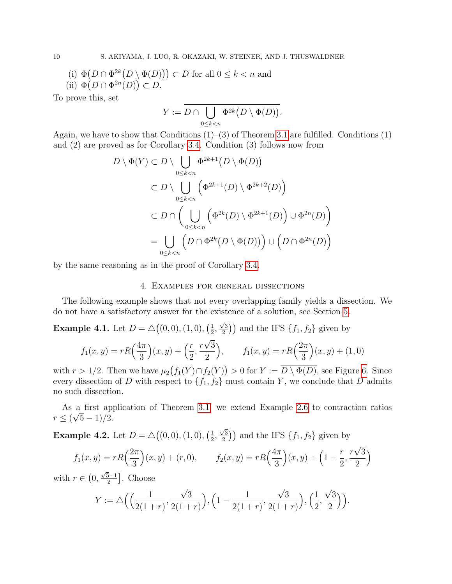- (i)  $\Phi(D \cap \Phi^{2k}(D \setminus \Phi(D))) \subset D$  for all  $0 \leq k < n$  and
- (ii)  $\Phi(D \cap \Phi^{2n}(D)) \subset D$ .

To prove this, set

$$
Y := \overline{D \cap \bigcup_{0 \le k < n} \Phi^{2k} \big( D \setminus \Phi(D) \big)}.
$$

Again, we have to show that Conditions  $(1)$ – $(3)$  of Theorem [3.1](#page-7-4) are fulfilled. Conditions  $(1)$ and (2) are proved as for Corollary [3.4.](#page-8-3) Condition (3) follows now from

$$
D \setminus \Phi(Y) \subset D \setminus \bigcup_{0 \le k < n} \Phi^{2k+1}(D \setminus \Phi(D))
$$
\n
$$
\subset D \setminus \bigcup_{0 \le k < n} \left( \Phi^{2k+1}(D) \setminus \Phi^{2k+2}(D) \right)
$$
\n
$$
\subset D \cap \left( \bigcup_{0 \le k < n} \left( \Phi^{2k}(D) \setminus \Phi^{2k+1}(D) \right) \cup \Phi^{2n}(D) \right)
$$
\n
$$
= \bigcup_{0 \le k < n} \left( D \cap \Phi^{2k}(D \setminus \Phi(D)) \right) \cup \left( D \cap \Phi^{2n}(D) \right)
$$

by the same reasoning as in the proof of Corollary [3.4.](#page-8-3)

### 4. Examples for general dissections

The following example shows that not every overlapping family yields a dissection. We do not have a satisfactory answer for the existence of a solution, see Section [5.](#page-12-0)

<span id="page-9-0"></span>**Example 4.1.** Let  $D = \Delta((0,0), (1,0), (\frac{1}{2}))$  $\frac{1}{2}$ ,  $\sqrt{3}$  $\left(\frac{\sqrt{3}}{2}\right)$  and the IFS  $\{f_1, f_2\}$  given by √

$$
f_1(x,y) = rR\left(\frac{4\pi}{3}\right)(x,y) + \left(\frac{r}{2}, \frac{r\sqrt{3}}{2}\right), \qquad f_1(x,y) = rR\left(\frac{2\pi}{3}\right)(x,y) + (1,0)
$$

with  $r > 1/2$ . Then we have  $\mu_2(f_1(Y) \cap f_2(Y)) > 0$  for  $Y := \overline{D \setminus \Phi(D)}$ , see Figure [6.](#page-10-0) Since every dissection of D with respect to  $\{f_1, f_2\}$  must contain Y, we conclude that D admits no such dissection.

As a first application of Theorem [3.1,](#page-7-4) we extend Example [2.6](#page-7-0) to contraction ratios √  $r \le (\sqrt{5}-1)/2.$ 

<span id="page-9-1"></span>**Example 4.2.** Let  $D = \Delta((0,0), (1,0), (\frac{1}{2}))$  $\frac{1}{2}$ ,  $\sqrt{3}$  $\left(\frac{\sqrt{3}}{2}\right)$  and the IFS  $\{f_1, f_2\}$  given by

$$
f_1(x,y) = rR\left(\frac{2\pi}{3}\right)(x,y) + (r,0), \qquad f_2(x,y) = rR\left(\frac{4\pi}{3}\right)(x,y) + \left(1 - \frac{r}{2}, \frac{r\sqrt{3}}{2}\right)
$$

with  $r \in (0,$  $\sqrt{5}-1$  $\left[\frac{5-1}{2}\right]$ . Choose

$$
Y := \triangle \Big( \Big( \frac{1}{2(1+r)}, \frac{\sqrt{3}}{2(1+r)} \Big), \Big( 1 - \frac{1}{2(1+r)}, \frac{\sqrt{3}}{2(1+r)} \Big), \Big( \frac{1}{2}, \frac{\sqrt{3}}{2} \Big) \Big).
$$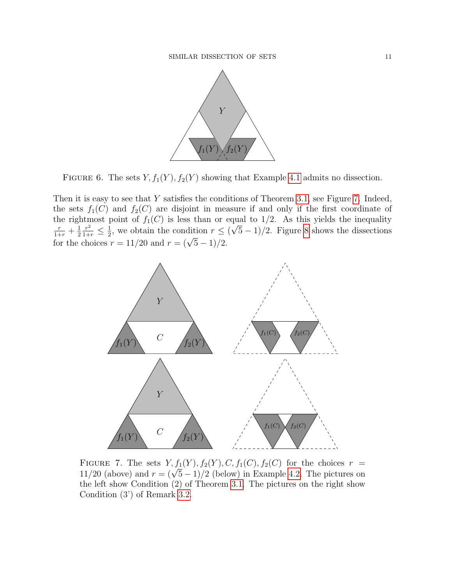

<span id="page-10-0"></span>FIGURE 6. The sets  $Y, f_1(Y), f_2(Y)$  showing that Example [4.1](#page-9-0) admits no dissection.

Then it is easy to see that  $Y$  satisfies the conditions of Theorem [3.1,](#page-7-4) see Figure [7.](#page-10-1) Indeed, the sets  $f_1(C)$  and  $f_2(C)$  are disjoint in measure if and only if the first coordinate of the rightmost point of  $f_1(C)$  is less than or equal to  $1/2$ . As this yields the inequality  $\frac{r}{1+r} + \frac{1}{2}$ 2  $\frac{r^2}{1+r} \leq \frac{1}{2}$  $\frac{1}{2}$ , we obtain the condition  $r \leq$  ( √  $\frac{r}{1+r} + \frac{1}{2} \frac{r^2}{1+r} \leq \frac{1}{2}$ , we obtain the condition  $r \leq (\sqrt{5}-1)/2$ . Figure [8](#page-11-0) shows the dissections for the choices  $r = 11/20$  and  $r = (\sqrt{5}-1)/2$ .



<span id="page-10-1"></span>FIGURE 7. The sets  $Y, f_1(Y), f_2(Y), C, f_1(C), f_2(C)$  for the choices  $r = 11/20$  (above) and  $r = (\sqrt{5}-1)/2$  (below) in Example [4.2.](#page-9-1) The pictures on the left show Condition (2) of Theorem [3.1.](#page-7-4) The pictures on the right show Condition (3') of Remark [3.2.](#page-8-4)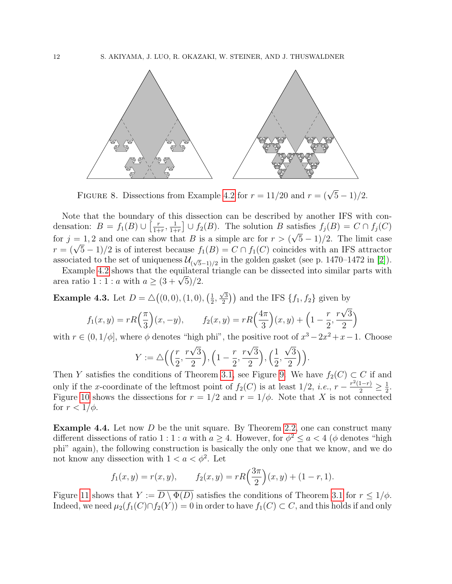

<span id="page-11-0"></span>FIGURE 8. Dissections from Example [4.2](#page-9-1) for  $r = 11/20$  and  $r = (\sqrt{5} - 1)/2$ .

Note that the boundary of this dissection can be described by another IFS with condensation:  $B = f_1(B) \cup \left[\frac{r}{1+r}\right]$  $\frac{r}{1+r}, \frac{1}{1+r}$  $\frac{1}{1+r}$   $\cup$   $f_2(B)$ . The solution B satisfies  $f_j(B) = C \cap f_j(C)$ for  $j = 1, 2$  and one can show that B is a simple arc for  $r > (\sqrt{5}-1)/2$ . The limit case for  $j = 1, 2$  and one can show that B is a simple arc for  $r > (\sqrt{5}-1)/2$ . The limit case  $r = (\sqrt{5}-1)/2$  is of interest because  $f_1(B) = C \cap f_1(C)$  coincides with an IFS attractor associated to the set of uniqueness  $\mathcal{U}_{(\sqrt{5}-1)/2}$  in the golden gasket (see p. 1470–1472 in [\[2\]](#page-15-9)).

Example [4.2](#page-9-1) shows that the equilateral triangle can be dissected into similar parts with Example 4.2 shows that the equilatera<br>area ratio 1 : 1 : a with  $a \geq (3 + \sqrt{5})/2$ .

<span id="page-11-1"></span>**Example 4.3.** Let  $D = \Delta((0,0), (1,0), (\frac{1}{2}))$  $\frac{1}{2}$ ,  $\sqrt{3}$  $\left(\frac{\sqrt{3}}{2}\right)$  and the IFS  $\{f_1, f_2\}$  given by √

$$
f_1(x, y) = rR\left(\frac{\pi}{3}\right)(x, -y),
$$
  $f_2(x, y) = rR\left(\frac{4\pi}{3}\right)(x, y) + \left(1 - \frac{r}{2}, \frac{r\sqrt{3}}{2}\right)$ 

with  $r \in (0, 1/\phi]$ , where  $\phi$  denotes "high phi", the positive root of  $x^3 - 2x^2 + x - 1$ . Choose

$$
Y := \triangle \Big( \Big( \frac{r}{2}, \frac{r\sqrt{3}}{2} \Big), \Big( 1 - \frac{r}{2}, \frac{r\sqrt{3}}{2} \Big), \Big( \frac{1}{2}, \frac{\sqrt{3}}{2} \Big) \Big).
$$

Then Y satisfies the conditions of Theorem [3.1,](#page-7-4) see Figure [9.](#page-12-1) We have  $f_2(C) \subset C$  if and only if the x-coordinate of the leftmost point of  $f_2(C)$  is at least  $1/2$ , *i.e.*,  $r - \frac{r^2(1-r)}{2} \ge \frac{1}{2}$  $\frac{1}{2}$ . Figure [10](#page-12-2) shows the dissections for  $r = 1/2$  and  $r = 1/\phi$ . Note that X is not connected for  $r < 1/\phi$ .

<span id="page-11-2"></span>Example 4.4. Let now D be the unit square. By Theorem [2.2,](#page-3-0) one can construct many different dissections of ratio 1 : 1 : a with  $a \geq 4$ . However, for  $\phi^2 \leq a < 4$  ( $\phi$  denotes "high phi" again), the following construction is basically the only one that we know, and we do not know any dissection with  $1 < a < \phi^2$ . Let

$$
f_1(x, y) = r(x, y),
$$
  $f_2(x, y) = rR\left(\frac{3\pi}{2}\right)(x, y) + (1 - r, 1).$ 

Figure [11](#page-13-0) shows that  $Y := \overline{D \setminus \Phi(D)}$  satisfies the conditions of Theorem [3.1](#page-7-4) for  $r \leq 1/\phi$ . Indeed, we need  $\mu_2(f_1(C) \cap f_2(Y)) = 0$  in order to have  $f_1(C) \subset C$ , and this holds if and only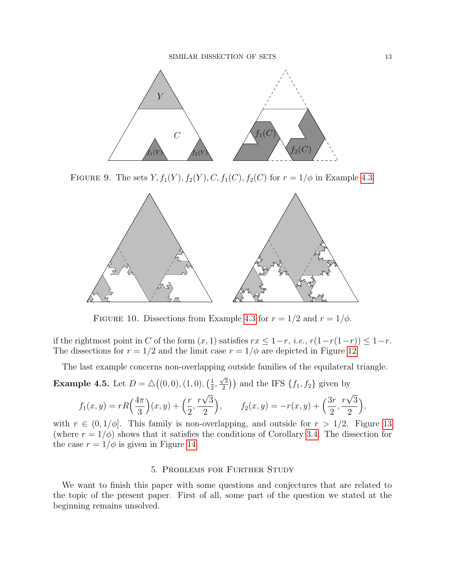

FIGURE 9. The sets  $Y, f_1(Y), f_2(Y), C, f_1(C), f_2(C)$  for  $r = 1/\phi$  in Example [4.3.](#page-11-1)

<span id="page-12-1"></span>

<span id="page-12-2"></span>FIGURE 10. Dissections from Example [4.3](#page-11-1) for  $r = 1/2$  and  $r = 1/\phi$ .

if the rightmost point in C of the form  $(x, 1)$  satisfies  $rx \leq 1-r$ , *i.e.*,  $r(1-r(1-r)) \leq 1-r$ . The dissections for  $r = 1/2$  and the limit case  $r = 1/\phi$  are depicted in Figure [12.](#page-13-1)

The last example concerns non-overlapping outside families of the equilateral triangle.

<span id="page-12-3"></span>**Example 4.5.** Let  $D = \Delta((0,0), (1,0), (\frac{1}{2}))$  $\frac{1}{2}$ ,  $\sqrt{3}$  $\binom{2}{2}$ ) and the IFS  $\{f_1, f_2\}$  given by √ √

$$
f_1(x,y) = rR\left(\frac{4\pi}{3}\right)(x,y) + \left(\frac{r}{2}, \frac{r\sqrt{3}}{2}\right), \qquad f_2(x,y) = -r(x,y) + \left(\frac{3r}{2}, \frac{r\sqrt{3}}{2}\right),
$$

with  $r \in (0, 1/\phi]$ . This family is non-overlapping, and outside for  $r > 1/2$ . Figure [13](#page-14-0) (where  $r = 1/\phi$ ) shows that it satisfies the conditions of Corollary [3.4.](#page-8-3) The dissection for the case  $r = 1/\phi$  is given in Figure [14.](#page-14-1)

#### 5. Problems for Further Study

<span id="page-12-0"></span>We want to finish this paper with some questions and conjectures that are related to the topic of the present paper. First of all, some part of the question we stated at the beginning remains unsolved.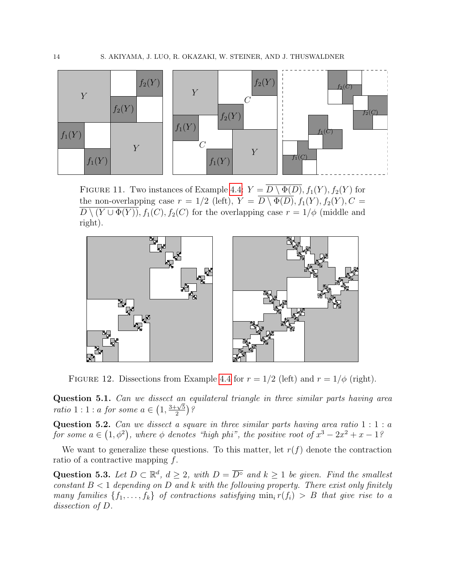

<span id="page-13-0"></span>FIGURE 11. Two instances of Example [4.4:](#page-11-2)  $Y = \overline{D \setminus \Phi(D)}$ ,  $f_1(Y)$ ,  $f_2(Y)$  for the non-overlapping case  $r = 1/2$  (left),  $Y = \overline{D \setminus \Phi(D)}$ ,  $f_1(Y)$ ,  $f_2(Y)$ ,  $C =$  $\overline{D \setminus (Y \cup \Phi(Y))}, f_1(C), f_2(C)$  for the overlapping case  $r = 1/\phi$  (middle and right).



<span id="page-13-1"></span>FIGURE 12. Dissections from Example [4.4](#page-11-2) for  $r = 1/2$  (left) and  $r = 1/\phi$  (right).

Question 5.1. Can we dissect an equilateral triangle in three similar parts having area **ratio** 1 : 1 : a for some  $a \in \left(1, \frac{3+\sqrt{5}}{2}\right)$  $\frac{\sqrt{5}}{2}$ )?

Question 5.2. Can we dissect a square in three similar parts having area ratio  $1:1:a$ for some  $a \in (1, \phi^2)$ , where  $\phi$  denotes "high phi", the positive root of  $x^3 - 2x^2 + x - 1$ ?

We want to generalize these questions. To this matter, let  $r(f)$  denote the contraction ratio of a contractive mapping f.

Question 5.3. Let  $D \subset \mathbb{R}^d$ ,  $d \geq 2$ , with  $D = \overline{D^{\circ}}$  and  $k \geq 1$  be given. Find the smallest constant  $B < 1$  depending on D and k with the following property. There exist only finitely many families  $\{f_1, \ldots, f_k\}$  of contractions satisfying  $\min_i r(f_i) > B$  that give rise to a dissection of D.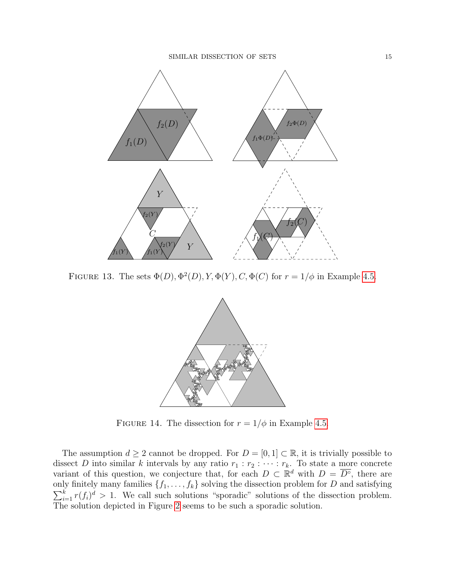

FIGURE 13. The sets  $\Phi(D), \Phi^2(D), Y, \Phi(Y), C, \Phi(C)$  for  $r = 1/\phi$  in Example [4.5.](#page-12-3)

<span id="page-14-0"></span>

<span id="page-14-1"></span>FIGURE 14. The dissection for  $r = 1/\phi$  in Example [4.5.](#page-12-3)

The assumption  $d \geq 2$  cannot be dropped. For  $D = [0, 1] \subset \mathbb{R}$ , it is trivially possible to dissect D into similar k intervals by any ratio  $r_1 : r_2 : \cdots : r_k$ . To state a more concrete variant of this question, we conjecture that, for each  $D \subset \mathbb{R}^d$  with  $D = \overline{D^{\circ}}$ , there are only finitely many families  $\{f_1, \ldots, f_k\}$  solving the dissection problem for D and satisfying  $\sum_{i=1}^{k} r(f_i)^d > 1$ . We call such solutions "sporadic" solutions of the dissection problem. The solution depicted in Figure [2](#page-2-0) seems to be such a sporadic solution.